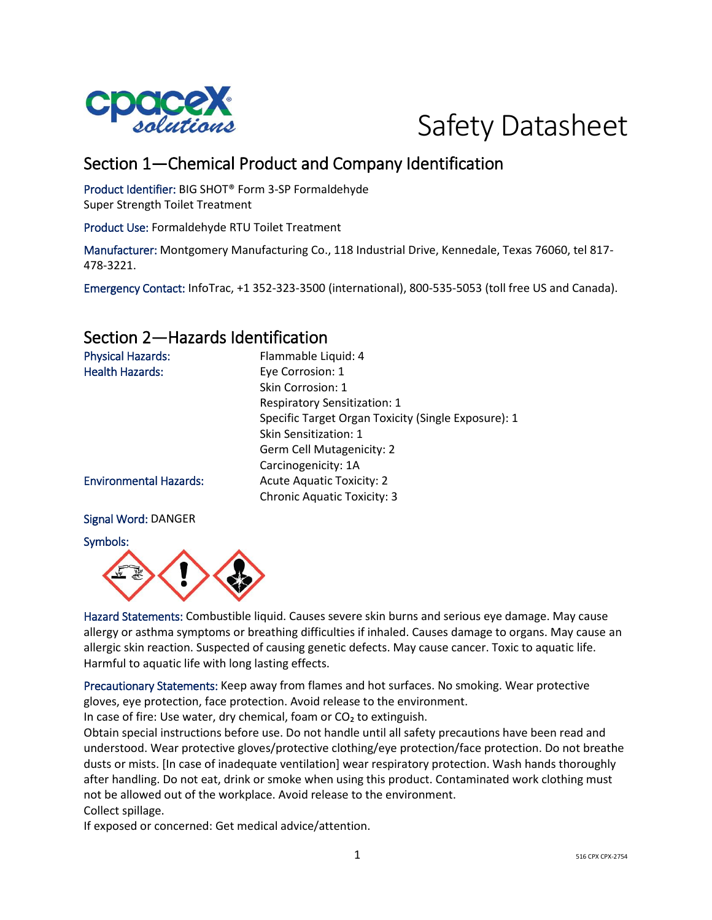



# Section 1—Chemical Product and Company Identification

Product Identifier: BIG SHOT® Form 3-SP Formaldehyde Super Strength Toilet Treatment

Product Use: Formaldehyde RTU Toilet Treatment

Manufacturer: Montgomery Manufacturing Co., 118 Industrial Drive, Kennedale, Texas 76060, tel 817- 478-3221.

Emergency Contact: InfoTrac, +1 352-323-3500 (international), 800-535-5053 (toll free US and Canada).

### Section 2—Hazards Identification

| <b>Physical Hazards:</b>      | Flammable Liquid: 4                                 |
|-------------------------------|-----------------------------------------------------|
| <b>Health Hazards:</b>        | Eye Corrosion: 1                                    |
|                               | Skin Corrosion: 1                                   |
|                               | <b>Respiratory Sensitization: 1</b>                 |
|                               | Specific Target Organ Toxicity (Single Exposure): 1 |
|                               | Skin Sensitization: 1                               |
|                               | Germ Cell Mutagenicity: 2                           |
|                               | Carcinogenicity: 1A                                 |
| <b>Environmental Hazards:</b> | <b>Acute Aquatic Toxicity: 2</b>                    |
|                               | <b>Chronic Aquatic Toxicity: 3</b>                  |

#### Signal Word: DANGER





Hazard Statements: Combustible liquid. Causes severe skin burns and serious eye damage. May cause allergy or asthma symptoms or breathing difficulties if inhaled. Causes damage to organs. May cause an allergic skin reaction. Suspected of causing genetic defects. May cause cancer. Toxic to aquatic life. Harmful to aquatic life with long lasting effects.

Precautionary Statements: Keep away from flames and hot surfaces. No smoking. Wear protective gloves, eye protection, face protection. Avoid release to the environment.

In case of fire: Use water, dry chemical, foam or  $CO<sub>2</sub>$  to extinguish.

Obtain special instructions before use. Do not handle until all safety precautions have been read and understood. Wear protective gloves/protective clothing/eye protection/face protection. Do not breathe dusts or mists. [In case of inadequate ventilation] wear respiratory protection. Wash hands thoroughly after handling. Do not eat, drink or smoke when using this product. Contaminated work clothing must not be allowed out of the workplace. Avoid release to the environment. Collect spillage.

If exposed or concerned: Get medical advice/attention.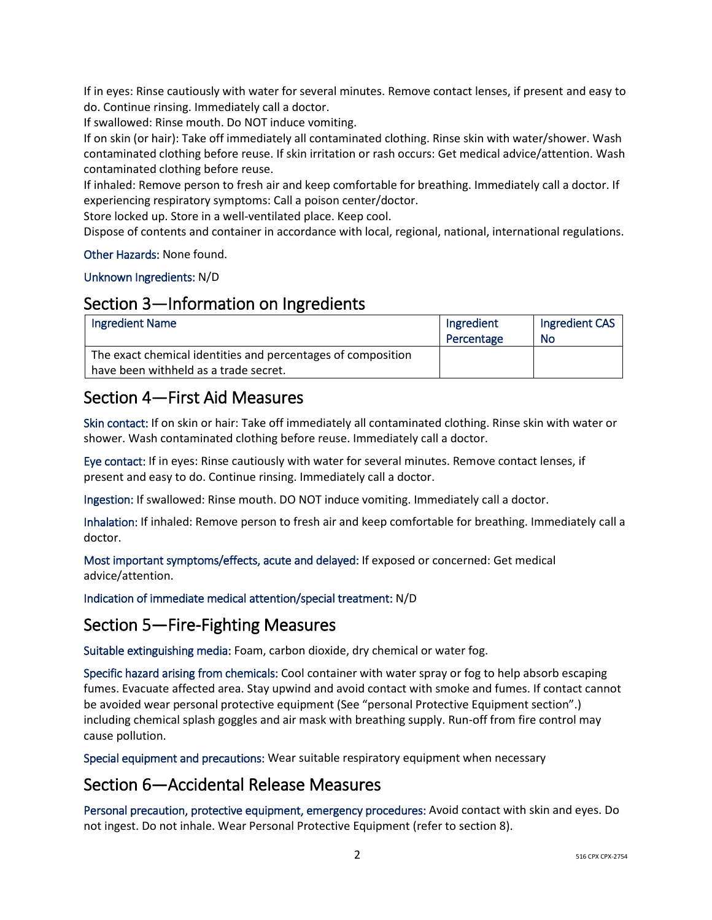If in eyes: Rinse cautiously with water for several minutes. Remove contact lenses, if present and easy to do. Continue rinsing. Immediately call a doctor.

If swallowed: Rinse mouth. Do NOT induce vomiting.

If on skin (or hair): Take off immediately all contaminated clothing. Rinse skin with water/shower. Wash contaminated clothing before reuse. If skin irritation or rash occurs: Get medical advice/attention. Wash contaminated clothing before reuse.

If inhaled: Remove person to fresh air and keep comfortable for breathing. Immediately call a doctor. If experiencing respiratory symptoms: Call a poison center/doctor.

Store locked up. Store in a well-ventilated place. Keep cool.

Dispose of contents and container in accordance with local, regional, national, international regulations.

#### Other Hazards: None found.

Unknown Ingredients: N/D

#### Section 3—Information on Ingredients

| <b>Ingredient Name</b>                                                                                | Ingredient<br>Percentage | Ingredient CAS<br>No |
|-------------------------------------------------------------------------------------------------------|--------------------------|----------------------|
| The exact chemical identities and percentages of composition<br>have been withheld as a trade secret. |                          |                      |

### Section 4—First Aid Measures

Skin contact: If on skin or hair: Take off immediately all contaminated clothing. Rinse skin with water or shower. Wash contaminated clothing before reuse. Immediately call a doctor.

Eye contact: If in eyes: Rinse cautiously with water for several minutes. Remove contact lenses, if present and easy to do. Continue rinsing. Immediately call a doctor.

Ingestion: If swallowed: Rinse mouth. DO NOT induce vomiting. Immediately call a doctor.

Inhalation: If inhaled: Remove person to fresh air and keep comfortable for breathing. Immediately call a doctor.

Most important symptoms/effects, acute and delayed: If exposed or concerned: Get medical advice/attention.

Indication of immediate medical attention/special treatment: N/D

### Section 5—Fire-Fighting Measures

Suitable extinguishing media: Foam, carbon dioxide, dry chemical or water fog.

Specific hazard arising from chemicals: Cool container with water spray or fog to help absorb escaping fumes. Evacuate affected area. Stay upwind and avoid contact with smoke and fumes. If contact cannot be avoided wear personal protective equipment (See "personal Protective Equipment section".) including chemical splash goggles and air mask with breathing supply. Run-off from fire control may cause pollution.

Special equipment and precautions: Wear suitable respiratory equipment when necessary

### Section 6—Accidental Release Measures

Personal precaution, protective equipment, emergency procedures: Avoid contact with skin and eyes. Do not ingest. Do not inhale. Wear Personal Protective Equipment (refer to section 8).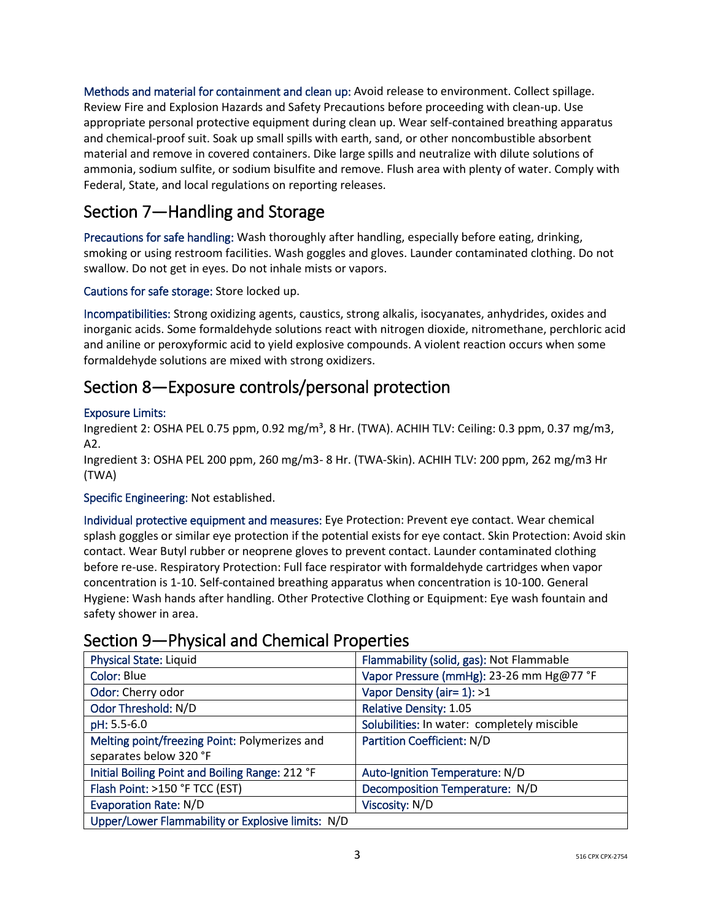Methods and material for containment and clean up: Avoid release to environment. Collect spillage. Review Fire and Explosion Hazards and Safety Precautions before proceeding with clean-up. Use appropriate personal protective equipment during clean up. Wear self-contained breathing apparatus and chemical-proof suit. Soak up small spills with earth, sand, or other noncombustible absorbent material and remove in covered containers. Dike large spills and neutralize with dilute solutions of ammonia, sodium sulfite, or sodium bisulfite and remove. Flush area with plenty of water. Comply with Federal, State, and local regulations on reporting releases.

# Section 7—Handling and Storage

Precautions for safe handling: Wash thoroughly after handling, especially before eating, drinking, smoking or using restroom facilities. Wash goggles and gloves. Launder contaminated clothing. Do not swallow. Do not get in eyes. Do not inhale mists or vapors.

Cautions for safe storage: Store locked up.

Incompatibilities: Strong oxidizing agents, caustics, strong alkalis, isocyanates, anhydrides, oxides and inorganic acids. Some formaldehyde solutions react with nitrogen dioxide, nitromethane, perchloric acid and aniline or peroxyformic acid to yield explosive compounds. A violent reaction occurs when some formaldehyde solutions are mixed with strong oxidizers.

## Section 8—Exposure controls/personal protection

#### Exposure Limits:

Ingredient 2: OSHA PEL 0.75 ppm, 0.92 mg/m<sup>3</sup>, 8 Hr. (TWA). ACHIH TLV: Ceiling: 0.3 ppm, 0.37 mg/m3, A2.

Ingredient 3: OSHA PEL 200 ppm, 260 mg/m3- 8 Hr. (TWA-Skin). ACHIH TLV: 200 ppm, 262 mg/m3 Hr (TWA)

Specific Engineering: Not established.

Individual protective equipment and measures: Eye Protection: Prevent eye contact. Wear chemical splash goggles or similar eye protection if the potential exists for eye contact. Skin Protection: Avoid skin contact. Wear Butyl rubber or neoprene gloves to prevent contact. Launder contaminated clothing before re-use. Respiratory Protection: Full face respirator with formaldehyde cartridges when vapor concentration is 1-10. Self-contained breathing apparatus when concentration is 10-100. General Hygiene: Wash hands after handling. Other Protective Clothing or Equipment: Eye wash fountain and safety shower in area.

| <b>Physical State: Liquid</b>                     | Flammability (solid, gas): Not Flammable    |
|---------------------------------------------------|---------------------------------------------|
| Color: Blue                                       | Vapor Pressure (mmHg): 23-26 mm Hg@77 °F    |
| Odor: Cherry odor                                 | Vapor Density (air= 1): >1                  |
| Odor Threshold: N/D                               | <b>Relative Density: 1.05</b>               |
| pH: 5.5-6.0                                       | Solubilities: In water: completely miscible |
| Melting point/freezing Point: Polymerizes and     | <b>Partition Coefficient: N/D</b>           |
| separates below 320 °F                            |                                             |
| Initial Boiling Point and Boiling Range: 212 °F   | Auto-Ignition Temperature: N/D              |
| Flash Point: >150 °F TCC (EST)                    | Decomposition Temperature: N/D              |
| <b>Evaporation Rate: N/D</b>                      | Viscosity: N/D                              |
| Upper/Lower Flammability or Explosive limits: N/D |                                             |

# Section 9-Physical and Chemical Properties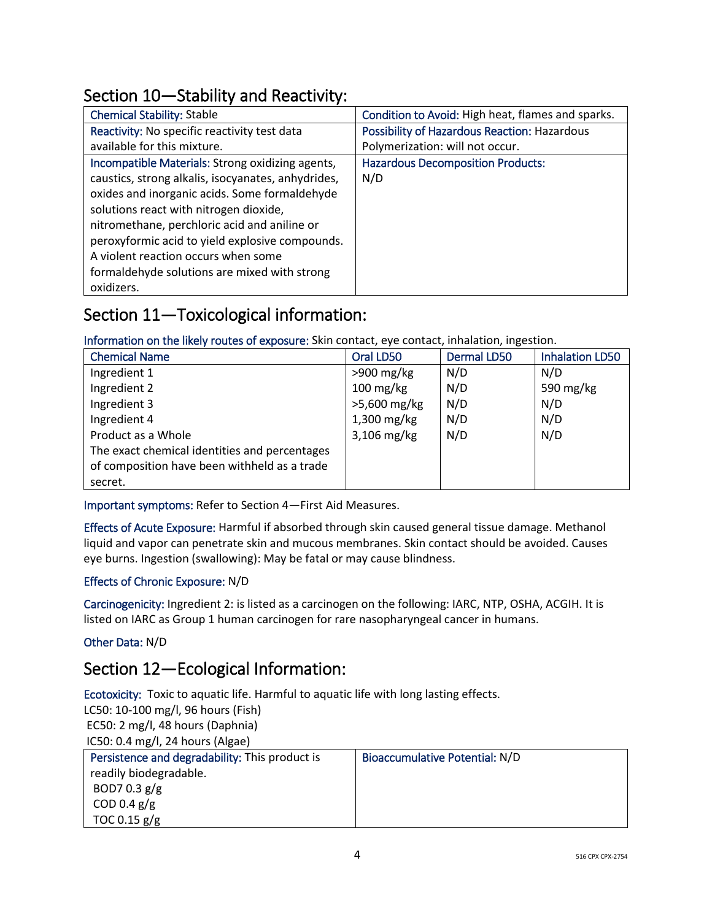# Section 10—Stability and Reactivity:

| <b>Chemical Stability: Stable</b>                  | Condition to Avoid: High heat, flames and sparks.   |
|----------------------------------------------------|-----------------------------------------------------|
| Reactivity: No specific reactivity test data       | <b>Possibility of Hazardous Reaction: Hazardous</b> |
| available for this mixture.                        | Polymerization: will not occur.                     |
| Incompatible Materials: Strong oxidizing agents,   | <b>Hazardous Decomposition Products:</b>            |
| caustics, strong alkalis, isocyanates, anhydrides, | N/D                                                 |
| oxides and inorganic acids. Some formaldehyde      |                                                     |
| solutions react with nitrogen dioxide,             |                                                     |
| nitromethane, perchloric acid and aniline or       |                                                     |
| peroxyformic acid to yield explosive compounds.    |                                                     |
| A violent reaction occurs when some                |                                                     |
| formaldehyde solutions are mixed with strong       |                                                     |
| oxidizers.                                         |                                                     |

# Section 11—Toxicological information:

Information on the likely routes of exposure: Skin contact, eye contact, inhalation, ingestion.

| <b>Chemical Name</b>                          | Oral LD50              | <b>Dermal LD50</b> | <b>Inhalation LD50</b> |
|-----------------------------------------------|------------------------|--------------------|------------------------|
| Ingredient 1                                  | $>900$ mg/kg           | N/D                | N/D                    |
| Ingredient 2                                  | $100 \,\mathrm{mg/kg}$ | N/D                | 590 mg/kg              |
| Ingredient 3                                  | >5,600 mg/kg           | N/D                | N/D                    |
| Ingredient 4                                  | $1,300$ mg/kg          | N/D                | N/D                    |
| Product as a Whole                            | 3,106 mg/kg            | N/D                | N/D                    |
| The exact chemical identities and percentages |                        |                    |                        |
| of composition have been withheld as a trade  |                        |                    |                        |
| secret.                                       |                        |                    |                        |

Important symptoms: Refer to Section 4—First Aid Measures.

Effects of Acute Exposure: Harmful if absorbed through skin caused general tissue damage. Methanol liquid and vapor can penetrate skin and mucous membranes. Skin contact should be avoided. Causes eye burns. Ingestion (swallowing): May be fatal or may cause blindness.

#### Effects of Chronic Exposure: N/D

Carcinogenicity: Ingredient 2: is listed as a carcinogen on the following: IARC, NTP, OSHA, ACGIH. It is listed on IARC as Group 1 human carcinogen for rare nasopharyngeal cancer in humans.

#### Other Data: N/D

# Section 12—Ecological Information:

Ecotoxicity: Toxic to aquatic life. Harmful to aquatic life with long lasting effects.

LC50: 10-100 mg/l, 96 hours (Fish) EC50: 2 mg/l, 48 hours (Daphnia) IC50: 0.4 mg/l, 24 hours (Algae)

| $100010111177111 = 110010101170001$            |                                |
|------------------------------------------------|--------------------------------|
| Persistence and degradability: This product is | Bioaccumulative Potential: N/D |
| readily biodegradable.                         |                                |
| BOD7 0.3 $g/g$                                 |                                |
| COD 0.4 $g/g$                                  |                                |
| TOC 0.15 $g/g$                                 |                                |